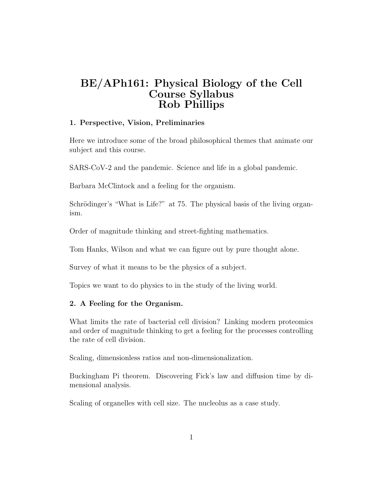# BE/APh161: Physical Biology of the Cell Course Syllabus Rob Phillips

#### 1. Perspective, Vision, Preliminaries

Here we introduce some of the broad philosophical themes that animate our subject and this course.

SARS-CoV-2 and the pandemic. Science and life in a global pandemic.

Barbara McClintock and a feeling for the organism.

Schrödinger's "What is Life?" at 75. The physical basis of the living organism.

Order of magnitude thinking and street-fighting mathematics.

Tom Hanks, Wilson and what we can figure out by pure thought alone.

Survey of what it means to be the physics of a subject.

Topics we want to do physics to in the study of the living world.

### 2. A Feeling for the Organism.

What limits the rate of bacterial cell division? Linking modern proteomics and order of magnitude thinking to get a feeling for the processes controlling the rate of cell division.

Scaling, dimensionless ratios and non-dimensionalization.

Buckingham Pi theorem. Discovering Fick's law and diffusion time by dimensional analysis.

Scaling of organelles with cell size. The nucleolus as a case study.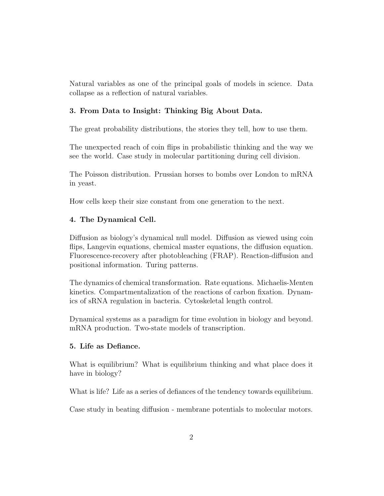Natural variables as one of the principal goals of models in science. Data collapse as a reflection of natural variables.

## 3. From Data to Insight: Thinking Big About Data.

The great probability distributions, the stories they tell, how to use them.

The unexpected reach of coin flips in probabilistic thinking and the way we see the world. Case study in molecular partitioning during cell division.

The Poisson distribution. Prussian horses to bombs over London to mRNA in yeast.

How cells keep their size constant from one generation to the next.

#### 4. The Dynamical Cell.

Diffusion as biology's dynamical null model. Diffusion as viewed using coin flips, Langevin equations, chemical master equations, the diffusion equation. Fluorescence-recovery after photobleaching (FRAP). Reaction-diffusion and positional information. Turing patterns.

The dynamics of chemical transformation. Rate equations. Michaelis-Menten kinetics. Compartmentalization of the reactions of carbon fixation. Dynamics of sRNA regulation in bacteria. Cytoskeletal length control.

Dynamical systems as a paradigm for time evolution in biology and beyond. mRNA production. Two-state models of transcription.

#### 5. Life as Defiance.

What is equilibrium? What is equilibrium thinking and what place does it have in biology?

What is life? Life as a series of defiances of the tendency towards equilibrium.

Case study in beating diffusion - membrane potentials to molecular motors.